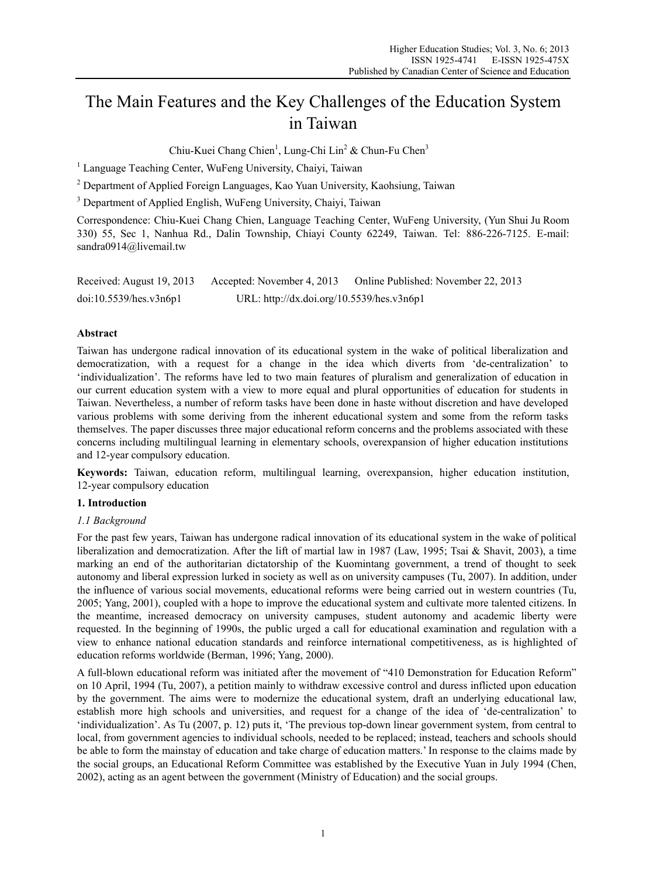# The Main Features and the Key Challenges of the Education System in Taiwan

Chiu-Kuei Chang Chien<sup>1</sup>, Lung-Chi Lin<sup>2</sup> & Chun-Fu Chen<sup>3</sup>

<sup>1</sup> Language Teaching Center, WuFeng University, Chaiyi, Taiwan

<sup>2</sup> Department of Applied Foreign Languages, Kao Yuan University, Kaohsiung, Taiwan

<sup>3</sup> Department of Applied English, WuFeng University, Chaiyi, Taiwan

Correspondence: Chiu-Kuei Chang Chien, Language Teaching Center, WuFeng University, (Yun Shui Ju Room 330) 55, Sec 1, Nanhua Rd., Dalin Township, Chiayi County 62249, Taiwan. Tel: 886-226-7125. E-mail: sandra0914@livemail.tw

| Received: August 19, 2013 | Accepted: November 4, 2013                | Online Published: November 22, 2013 |
|---------------------------|-------------------------------------------|-------------------------------------|
| doi:10.5539/hes.v3n6p1    | URL: http://dx.doi.org/10.5539/hes.v3n6p1 |                                     |

# **Abstract**

Taiwan has undergone radical innovation of its educational system in the wake of political liberalization and democratization, with a request for a change in the idea which diverts from 'de-centralization' to 'individualization'. The reforms have led to two main features of pluralism and generalization of education in our current education system with a view to more equal and plural opportunities of education for students in Taiwan. Nevertheless, a number of reform tasks have been done in haste without discretion and have developed various problems with some deriving from the inherent educational system and some from the reform tasks themselves. The paper discusses three major educational reform concerns and the problems associated with these concerns including multilingual learning in elementary schools, overexpansion of higher education institutions and 12-year compulsory education.

**Keywords:** Taiwan, education reform, multilingual learning, overexpansion, higher education institution, 12-year compulsory education

# **1. Introduction**

# *1.1 Background*

For the past few years, Taiwan has undergone radical innovation of its educational system in the wake of political liberalization and democratization. After the lift of martial law in 1987 (Law, 1995; Tsai & Shavit, 2003), a time marking an end of the authoritarian dictatorship of the Kuomintang government, a trend of thought to seek autonomy and liberal expression lurked in society as well as on university campuses (Tu, 2007). In addition, under the influence of various social movements, educational reforms were being carried out in western countries (Tu, 2005; Yang, 2001), coupled with a hope to improve the educational system and cultivate more talented citizens. In the meantime, increased democracy on university campuses, student autonomy and academic liberty were requested. In the beginning of 1990s, the public urged a call for educational examination and regulation with a view to enhance national education standards and reinforce international competitiveness, as is highlighted of education reforms worldwide (Berman, 1996; Yang, 2000).

A full-blown educational reform was initiated after the movement of "410 Demonstration for Education Reform" on 10 April, 1994 (Tu, 2007), a petition mainly to withdraw excessive control and duress inflicted upon education by the government. The aims were to modernize the educational system, draft an underlying educational law, establish more high schools and universities, and request for a change of the idea of 'de-centralization' to 'individualization'. As Tu (2007, p. 12) puts it, 'The previous top-down linear government system, from central to local, from government agencies to individual schools, needed to be replaced; instead, teachers and schools should be able to form the mainstay of education and take charge of education matters.' In response to the claims made by the social groups, an Educational Reform Committee was established by the Executive Yuan in July 1994 (Chen, 2002), acting as an agent between the government (Ministry of Education) and the social groups.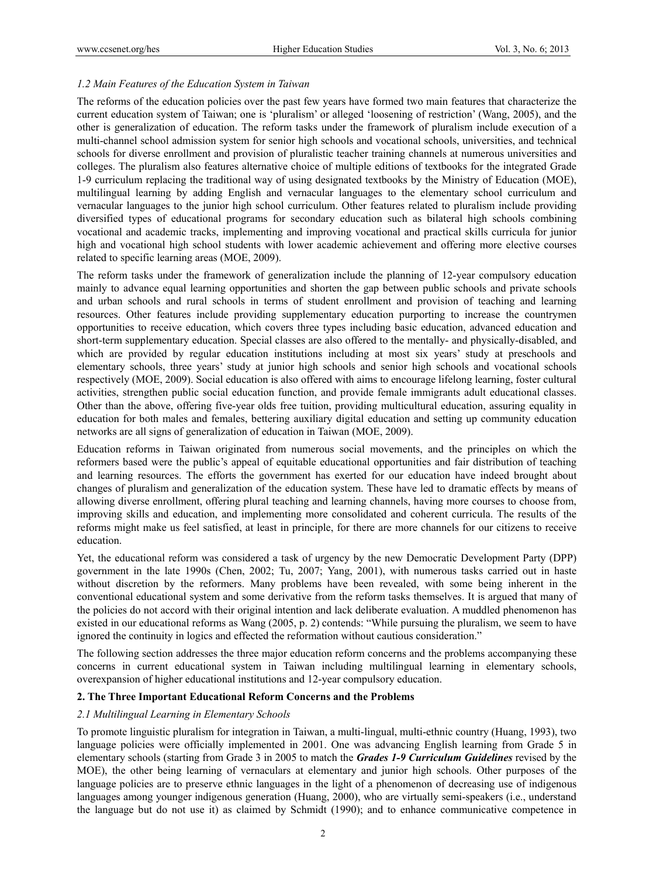# *1.2 Main Features of the Education System in Taiwan*

The reforms of the education policies over the past few years have formed two main features that characterize the current education system of Taiwan; one is 'pluralism' or alleged 'loosening of restriction' (Wang, 2005), and the other is generalization of education. The reform tasks under the framework of pluralism include execution of a multi-channel school admission system for senior high schools and vocational schools, universities, and technical schools for diverse enrollment and provision of pluralistic teacher training channels at numerous universities and colleges. The pluralism also features alternative choice of multiple editions of textbooks for the integrated Grade 1-9 curriculum replacing the traditional way of using designated textbooks by the Ministry of Education (MOE), multilingual learning by adding English and vernacular languages to the elementary school curriculum and vernacular languages to the junior high school curriculum. Other features related to pluralism include providing diversified types of educational programs for secondary education such as bilateral high schools combining vocational and academic tracks, implementing and improving vocational and practical skills curricula for junior high and vocational high school students with lower academic achievement and offering more elective courses related to specific learning areas (MOE, 2009).

The reform tasks under the framework of generalization include the planning of 12-year compulsory education mainly to advance equal learning opportunities and shorten the gap between public schools and private schools and urban schools and rural schools in terms of student enrollment and provision of teaching and learning resources. Other features include providing supplementary education purporting to increase the countrymen opportunities to receive education, which covers three types including basic education, advanced education and short-term supplementary education. Special classes are also offered to the mentally- and physically-disabled, and which are provided by regular education institutions including at most six years' study at preschools and elementary schools, three years' study at junior high schools and senior high schools and vocational schools respectively (MOE, 2009). Social education is also offered with aims to encourage lifelong learning, foster cultural activities, strengthen public social education function, and provide female immigrants adult educational classes. Other than the above, offering five-year olds free tuition, providing multicultural education, assuring equality in education for both males and females, bettering auxiliary digital education and setting up community education networks are all signs of generalization of education in Taiwan (MOE, 2009).

Education reforms in Taiwan originated from numerous social movements, and the principles on which the reformers based were the public's appeal of equitable educational opportunities and fair distribution of teaching and learning resources. The efforts the government has exerted for our education have indeed brought about changes of pluralism and generalization of the education system. These have led to dramatic effects by means of allowing diverse enrollment, offering plural teaching and learning channels, having more courses to choose from, improving skills and education, and implementing more consolidated and coherent curricula. The results of the reforms might make us feel satisfied, at least in principle, for there are more channels for our citizens to receive education.

Yet, the educational reform was considered a task of urgency by the new Democratic Development Party (DPP) government in the late 1990s (Chen, 2002; Tu, 2007; Yang, 2001), with numerous tasks carried out in haste without discretion by the reformers. Many problems have been revealed, with some being inherent in the conventional educational system and some derivative from the reform tasks themselves. It is argued that many of the policies do not accord with their original intention and lack deliberate evaluation. A muddled phenomenon has existed in our educational reforms as Wang (2005, p. 2) contends: "While pursuing the pluralism, we seem to have ignored the continuity in logics and effected the reformation without cautious consideration."

The following section addresses the three major education reform concerns and the problems accompanying these concerns in current educational system in Taiwan including multilingual learning in elementary schools, overexpansion of higher educational institutions and 12-year compulsory education.

# **2. The Three Important Educational Reform Concerns and the Problems**

# *2.1 Multilingual Learning in Elementary Schools*

To promote linguistic pluralism for integration in Taiwan, a multi-lingual, multi-ethnic country (Huang, 1993), two language policies were officially implemented in 2001. One was advancing English learning from Grade 5 in elementary schools (starting from Grade 3 in 2005 to match the *Grades 1-9 Curriculum Guidelines* revised by the MOE), the other being learning of vernaculars at elementary and junior high schools. Other purposes of the language policies are to preserve ethnic languages in the light of a phenomenon of decreasing use of indigenous languages among younger indigenous generation (Huang, 2000), who are virtually semi-speakers (i.e., understand the language but do not use it) as claimed by Schmidt (1990); and to enhance communicative competence in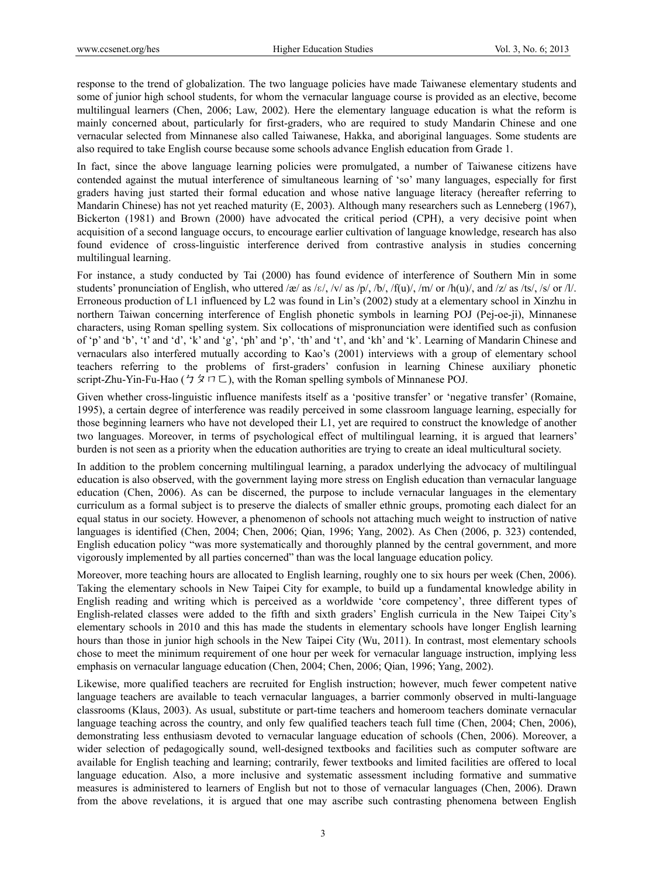response to the trend of globalization. The two language policies have made Taiwanese elementary students and some of junior high school students, for whom the vernacular language course is provided as an elective, become multilingual learners (Chen, 2006; Law, 2002). Here the elementary language education is what the reform is mainly concerned about, particularly for first-graders, who are required to study Mandarin Chinese and one vernacular selected from Minnanese also called Taiwanese, Hakka, and aboriginal languages. Some students are also required to take English course because some schools advance English education from Grade 1.

In fact, since the above language learning policies were promulgated, a number of Taiwanese citizens have contended against the mutual interference of simultaneous learning of 'so' many languages, especially for first graders having just started their formal education and whose native language literacy (hereafter referring to Mandarin Chinese) has not yet reached maturity (E, 2003). Although many researchers such as Lenneberg (1967), Bickerton (1981) and Brown (2000) have advocated the critical period (CPH), a very decisive point when acquisition of a second language occurs, to encourage earlier cultivation of language knowledge, research has also found evidence of cross-linguistic interference derived from contrastive analysis in studies concerning multilingual learning.

For instance, a study conducted by Tai (2000) has found evidence of interference of Southern Min in some students' pronunciation of English, who uttered /æ/ as /ɛ/, /v/ as /p/, /b/, /f(u)/, /m/ or /h(u)/, and /z/ as /ts/, /s/ or /l/. Erroneous production of L1 influenced by L2 was found in Lin's (2002) study at a elementary school in Xinzhu in northern Taiwan concerning interference of English phonetic symbols in learning POJ (Pej-oe-ji), Minnanese characters, using Roman spelling system. Six collocations of mispronunciation were identified such as confusion of 'p' and 'b', 't' and 'd', 'k' and 'g', 'ph' and 'p', 'th' and 't', and 'kh' and 'k'. Learning of Mandarin Chinese and vernaculars also interfered mutually according to Kao's (2001) interviews with a group of elementary school teachers referring to the problems of first-graders' confusion in learning Chinese auxiliary phonetic script-Zhu-Yin-Fu-Hao ( $\gamma \nless \square$ ), with the Roman spelling symbols of Minnanese POJ.

Given whether cross-linguistic influence manifests itself as a 'positive transfer' or 'negative transfer' (Romaine, 1995), a certain degree of interference was readily perceived in some classroom language learning, especially for those beginning learners who have not developed their L1, yet are required to construct the knowledge of another two languages. Moreover, in terms of psychological effect of multilingual learning, it is argued that learners' burden is not seen as a priority when the education authorities are trying to create an ideal multicultural society.

In addition to the problem concerning multilingual learning, a paradox underlying the advocacy of multilingual education is also observed, with the government laying more stress on English education than vernacular language education (Chen, 2006). As can be discerned, the purpose to include vernacular languages in the elementary curriculum as a formal subject is to preserve the dialects of smaller ethnic groups, promoting each dialect for an equal status in our society. However, a phenomenon of schools not attaching much weight to instruction of native languages is identified (Chen, 2004; Chen, 2006; Qian, 1996; Yang, 2002). As Chen (2006, p. 323) contended, English education policy "was more systematically and thoroughly planned by the central government, and more vigorously implemented by all parties concerned" than was the local language education policy.

Moreover, more teaching hours are allocated to English learning, roughly one to six hours per week (Chen, 2006). Taking the elementary schools in New Taipei City for example, to build up a fundamental knowledge ability in English reading and writing which is perceived as a worldwide 'core competency', three different types of English-related classes were added to the fifth and sixth graders' English curricula in the New Taipei City's elementary schools in 2010 and this has made the students in elementary schools have longer English learning hours than those in junior high schools in the New Taipei City (Wu, 2011). In contrast, most elementary schools chose to meet the minimum requirement of one hour per week for vernacular language instruction, implying less emphasis on vernacular language education (Chen, 2004; Chen, 2006; Qian, 1996; Yang, 2002).

Likewise, more qualified teachers are recruited for English instruction; however, much fewer competent native language teachers are available to teach vernacular languages, a barrier commonly observed in multi-language classrooms (Klaus, 2003). As usual, substitute or part-time teachers and homeroom teachers dominate vernacular language teaching across the country, and only few qualified teachers teach full time (Chen, 2004; Chen, 2006), demonstrating less enthusiasm devoted to vernacular language education of schools (Chen, 2006). Moreover, a wider selection of pedagogically sound, well-designed textbooks and facilities such as computer software are available for English teaching and learning; contrarily, fewer textbooks and limited facilities are offered to local language education. Also, a more inclusive and systematic assessment including formative and summative measures is administered to learners of English but not to those of vernacular languages (Chen, 2006). Drawn from the above revelations, it is argued that one may ascribe such contrasting phenomena between English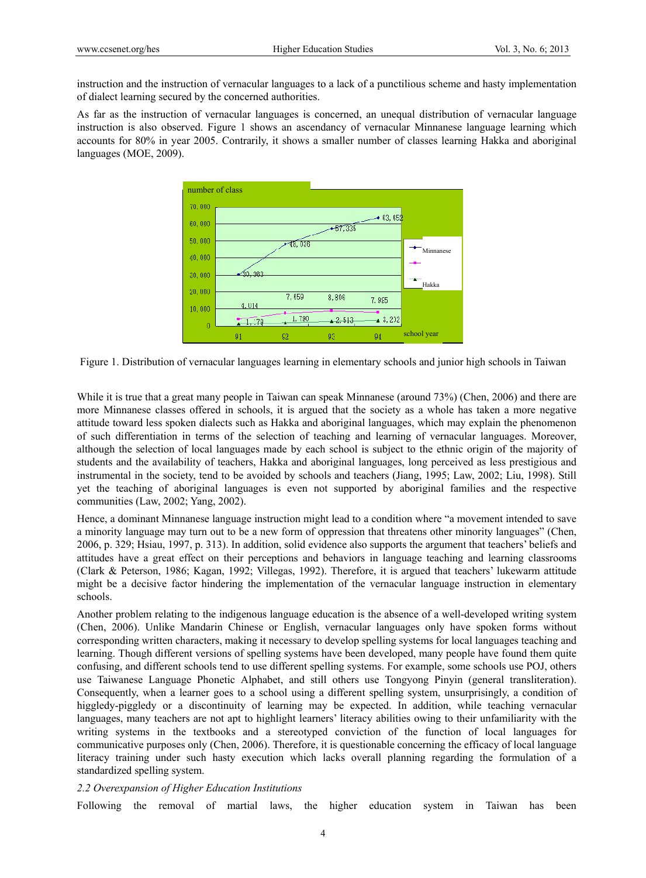instruction and the instruction of vernacular languages to a lack of a punctilious scheme and hasty implementation of dialect learning secured by the concerned authorities.

As far as the instruction of vernacular languages is concerned, an unequal distribution of vernacular language instruction is also observed. Figure 1 shows an ascendancy of vernacular Minnanese language learning which accounts for 80% in year 2005. Contrarily, it shows a smaller number of classes learning Hakka and aboriginal languages (MOE, 2009).



Figure 1. Distribution of vernacular languages learning in elementary schools and junior high schools in Taiwan

While it is true that a great many people in Taiwan can speak Minnanese (around 73%) (Chen, 2006) and there are more Minnanese classes offered in schools, it is argued that the society as a whole has taken a more negative attitude toward less spoken dialects such as Hakka and aboriginal languages, which may explain the phenomenon of such differentiation in terms of the selection of teaching and learning of vernacular languages. Moreover, although the selection of local languages made by each school is subject to the ethnic origin of the majority of students and the availability of teachers, Hakka and aboriginal languages, long perceived as less prestigious and instrumental in the society, tend to be avoided by schools and teachers (Jiang, 1995; Law, 2002; Liu, 1998). Still yet the teaching of aboriginal languages is even not supported by aboriginal families and the respective communities (Law, 2002; Yang, 2002).

Hence, a dominant Minnanese language instruction might lead to a condition where "a movement intended to save a minority language may turn out to be a new form of oppression that threatens other minority languages" (Chen, 2006, p. 329; Hsiau, 1997, p. 313). In addition, solid evidence also supports the argument that teachers' beliefs and attitudes have a great effect on their perceptions and behaviors in language teaching and learning classrooms (Clark & Peterson, 1986; Kagan, 1992; Villegas, 1992). Therefore, it is argued that teachers' lukewarm attitude might be a decisive factor hindering the implementation of the vernacular language instruction in elementary schools.

Another problem relating to the indigenous language education is the absence of a well-developed writing system (Chen, 2006). Unlike Mandarin Chinese or English, vernacular languages only have spoken forms without corresponding written characters, making it necessary to develop spelling systems for local languages teaching and learning. Though different versions of spelling systems have been developed, many people have found them quite confusing, and different schools tend to use different spelling systems. For example, some schools use POJ, others use Taiwanese Language Phonetic Alphabet, and still others use Tongyong Pinyin (general transliteration). Consequently, when a learner goes to a school using a different spelling system, unsurprisingly, a condition of higgledy-piggledy or a discontinuity of learning may be expected. In addition, while teaching vernacular languages, many teachers are not apt to highlight learners' literacy abilities owing to their unfamiliarity with the writing systems in the textbooks and a stereotyped conviction of the function of local languages for communicative purposes only (Chen, 2006). Therefore, it is questionable concerning the efficacy of local language literacy training under such hasty execution which lacks overall planning regarding the formulation of a standardized spelling system.

## *2.2 Overexpansion of Higher Education Institutions*

Following the removal of martial laws, the higher education system in Taiwan has been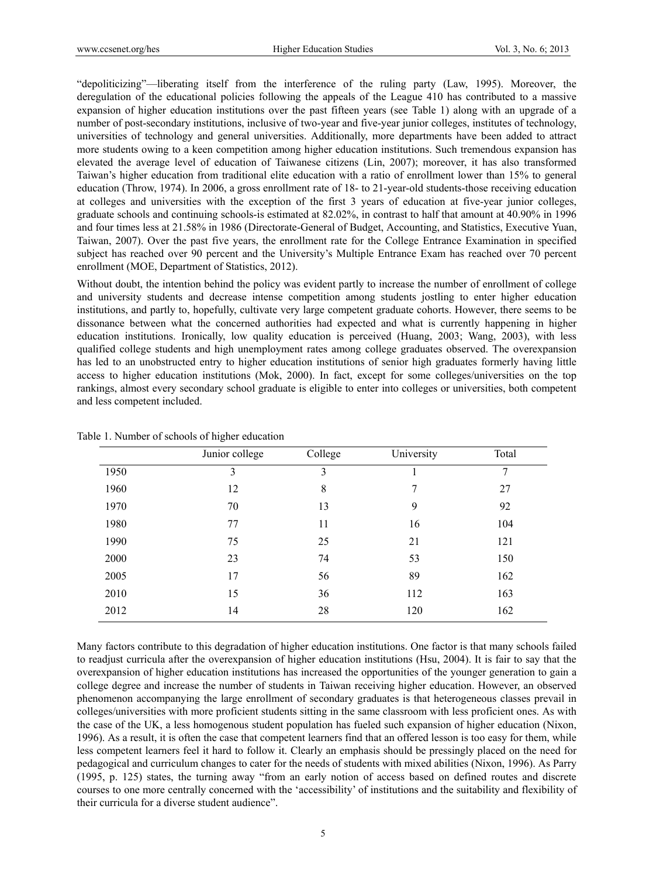"depoliticizing"—liberating itself from the interference of the ruling party (Law, 1995). Moreover, the deregulation of the educational policies following the appeals of the League 410 has contributed to a massive expansion of higher education institutions over the past fifteen years (see Table 1) along with an upgrade of a number of post-secondary institutions, inclusive of two-year and five-year junior colleges, institutes of technology, universities of technology and general universities. Additionally, more departments have been added to attract more students owing to a keen competition among higher education institutions. Such tremendous expansion has elevated the average level of education of Taiwanese citizens (Lin, 2007); moreover, it has also transformed Taiwan's higher education from traditional elite education with a ratio of enrollment lower than 15% to general education (Throw, 1974). In 2006, a gross enrollment rate of 18- to 21-year-old students-those receiving education at colleges and universities with the exception of the first 3 years of education at five-year junior colleges, graduate schools and continuing schools-is estimated at 82.02%, in contrast to half that amount at 40.90% in 1996 and four times less at 21.58% in 1986 (Directorate-General of Budget, Accounting, and Statistics, Executive Yuan, Taiwan, 2007). Over the past five years, the enrollment rate for the College Entrance Examination in specified subject has reached over 90 percent and the University's Multiple Entrance Exam has reached over 70 percent enrollment (MOE, Department of Statistics, 2012).

Without doubt, the intention behind the policy was evident partly to increase the number of enrollment of college and university students and decrease intense competition among students jostling to enter higher education institutions, and partly to, hopefully, cultivate very large competent graduate cohorts. However, there seems to be dissonance between what the concerned authorities had expected and what is currently happening in higher education institutions. Ironically, low quality education is perceived (Huang, 2003; Wang, 2003), with less qualified college students and high unemployment rates among college graduates observed. The overexpansion has led to an unobstructed entry to higher education institutions of senior high graduates formerly having little access to higher education institutions (Mok, 2000). In fact, except for some colleges/universities on the top rankings, almost every secondary school graduate is eligible to enter into colleges or universities, both competent and less competent included.

|      | Junior college | College | University | Total |
|------|----------------|---------|------------|-------|
| 1950 | 3              | 3       |            | 7     |
| 1960 | 12             | 8       | 7          | 27    |
| 1970 | 70             | 13      | 9          | 92    |
| 1980 | 77             | 11      | 16         | 104   |
| 1990 | 75             | 25      | 21         | 121   |
| 2000 | 23             | 74      | 53         | 150   |
| 2005 | 17             | 56      | 89         | 162   |
| 2010 | 15             | 36      | 112        | 163   |
| 2012 | 14             | 28      | 120        | 162   |

Table 1. Number of schools of higher education

Many factors contribute to this degradation of higher education institutions. One factor is that many schools failed to readjust curricula after the overexpansion of higher education institutions (Hsu, 2004). It is fair to say that the overexpansion of higher education institutions has increased the opportunities of the younger generation to gain a college degree and increase the number of students in Taiwan receiving higher education. However, an observed phenomenon accompanying the large enrollment of secondary graduates is that heterogeneous classes prevail in colleges/universities with more proficient students sitting in the same classroom with less proficient ones. As with the case of the UK, a less homogenous student population has fueled such expansion of higher education (Nixon, 1996). As a result, it is often the case that competent learners find that an offered lesson is too easy for them, while less competent learners feel it hard to follow it. Clearly an emphasis should be pressingly placed on the need for pedagogical and curriculum changes to cater for the needs of students with mixed abilities (Nixon, 1996). As Parry (1995, p. 125) states, the turning away "from an early notion of access based on defined routes and discrete courses to one more centrally concerned with the 'accessibility' of institutions and the suitability and flexibility of their curricula for a diverse student audience".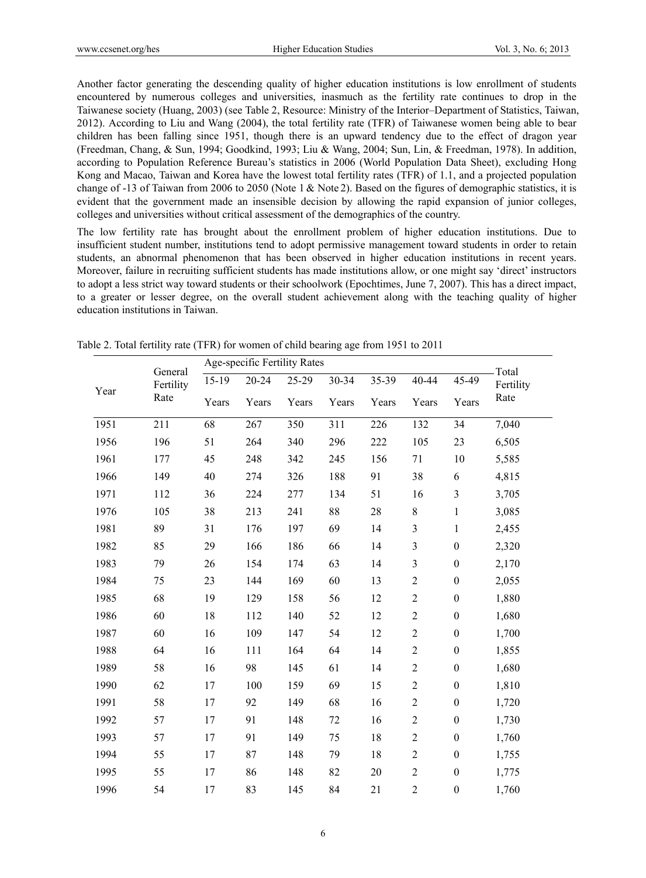Another factor generating the descending quality of higher education institutions is low enrollment of students encountered by numerous colleges and universities, inasmuch as the fertility rate continues to drop in the Taiwanese society (Huang, 2003) (see Table 2, Resource: Ministry of the Interior–Department of Statistics, Taiwan, 2012). According to Liu and Wang (2004), the total fertility rate (TFR) of Taiwanese women being able to bear children has been falling since 1951, though there is an upward tendency due to the effect of dragon year (Freedman, Chang, & Sun, 1994; Goodkind, 1993; Liu & Wang, 2004; Sun, Lin, & Freedman, 1978). In addition, according to Population Reference Bureau's statistics in 2006 (World Population Data Sheet), excluding Hong Kong and Macao, Taiwan and Korea have the lowest total fertility rates (TFR) of 1.1, and a projected population change of -13 of Taiwan from 2006 to 2050 (Note 1  $\&$  Note 2). Based on the figures of demographic statistics, it is evident that the government made an insensible decision by allowing the rapid expansion of junior colleges, colleges and universities without critical assessment of the demographics of the country.

The low fertility rate has brought about the enrollment problem of higher education institutions. Due to insufficient student number, institutions tend to adopt permissive management toward students in order to retain students, an abnormal phenomenon that has been observed in higher education institutions in recent years. Moreover, failure in recruiting sufficient students has made institutions allow, or one might say 'direct' instructors to adopt a less strict way toward students or their schoolwork (Epochtimes, June 7, 2007). This has a direct impact, to a greater or lesser degree, on the overall student achievement along with the teaching quality of higher education institutions in Taiwan.

|                           | General | Age-specific Fertility Rates |       |       |       |       |                | Total            |           |
|---------------------------|---------|------------------------------|-------|-------|-------|-------|----------------|------------------|-----------|
| Fertility<br>Year<br>Rate |         | 15-19                        | 20-24 | 25-29 | 30-34 | 35-39 | 40-44          | 45-49            | Fertility |
|                           | Years   | Years                        | Years | Years | Years | Years | Years          | Rate             |           |
| 1951                      | 211     | 68                           | 267   | 350   | 311   | 226   | 132            | 34               | 7,040     |
| 1956                      | 196     | 51                           | 264   | 340   | 296   | 222   | 105            | 23               | 6,505     |
| 1961                      | 177     | 45                           | 248   | 342   | 245   | 156   | 71             | 10               | 5,585     |
| 1966                      | 149     | 40                           | 274   | 326   | 188   | 91    | 38             | 6                | 4,815     |
| 1971                      | 112     | 36                           | 224   | 277   | 134   | 51    | 16             | $\mathfrak{Z}$   | 3,705     |
| 1976                      | 105     | 38                           | 213   | 241   | 88    | 28    | 8              | $\mathbf{1}$     | 3,085     |
| 1981                      | 89      | 31                           | 176   | 197   | 69    | 14    | 3              | $\mathbf{1}$     | 2,455     |
| 1982                      | 85      | 29                           | 166   | 186   | 66    | 14    | $\mathfrak{Z}$ | $\boldsymbol{0}$ | 2,320     |
| 1983                      | 79      | 26                           | 154   | 174   | 63    | 14    | $\mathfrak{Z}$ | $\boldsymbol{0}$ | 2,170     |
| 1984                      | 75      | 23                           | 144   | 169   | 60    | 13    | $\overline{2}$ | $\boldsymbol{0}$ | 2,055     |
| 1985                      | 68      | 19                           | 129   | 158   | 56    | 12    | $\mathfrak{2}$ | $\boldsymbol{0}$ | 1,880     |
| 1986                      | 60      | 18                           | 112   | 140   | 52    | 12    | $\mathbf{2}$   | $\boldsymbol{0}$ | 1,680     |
| 1987                      | 60      | 16                           | 109   | 147   | 54    | 12    | $\overline{2}$ | $\boldsymbol{0}$ | 1,700     |
| 1988                      | 64      | 16                           | 111   | 164   | 64    | 14    | $\overline{2}$ | $\boldsymbol{0}$ | 1,855     |
| 1989                      | 58      | 16                           | 98    | 145   | 61    | 14    | $\mathbf{2}$   | $\boldsymbol{0}$ | 1,680     |
| 1990                      | 62      | 17                           | 100   | 159   | 69    | 15    | $\sqrt{2}$     | $\boldsymbol{0}$ | 1,810     |
| 1991                      | 58      | 17                           | 92    | 149   | 68    | 16    | $\sqrt{2}$     | $\boldsymbol{0}$ | 1,720     |
| 1992                      | 57      | 17                           | 91    | 148   | 72    | 16    | $\overline{c}$ | $\boldsymbol{0}$ | 1,730     |
| 1993                      | 57      | 17                           | 91    | 149   | 75    | 18    | $\mathbf{2}$   | $\boldsymbol{0}$ | 1,760     |
| 1994                      | 55      | 17                           | 87    | 148   | 79    | 18    | $\overline{c}$ | $\boldsymbol{0}$ | 1,755     |
| 1995                      | 55      | 17                           | 86    | 148   | 82    | 20    | $\mathbf{2}$   | $\boldsymbol{0}$ | 1,775     |
| 1996                      | 54      | 17                           | 83    | 145   | 84    | 21    | $\overline{2}$ | $\boldsymbol{0}$ | 1,760     |

Table 2. Total fertility rate (TFR) for women of child bearing age from 1951 to 2011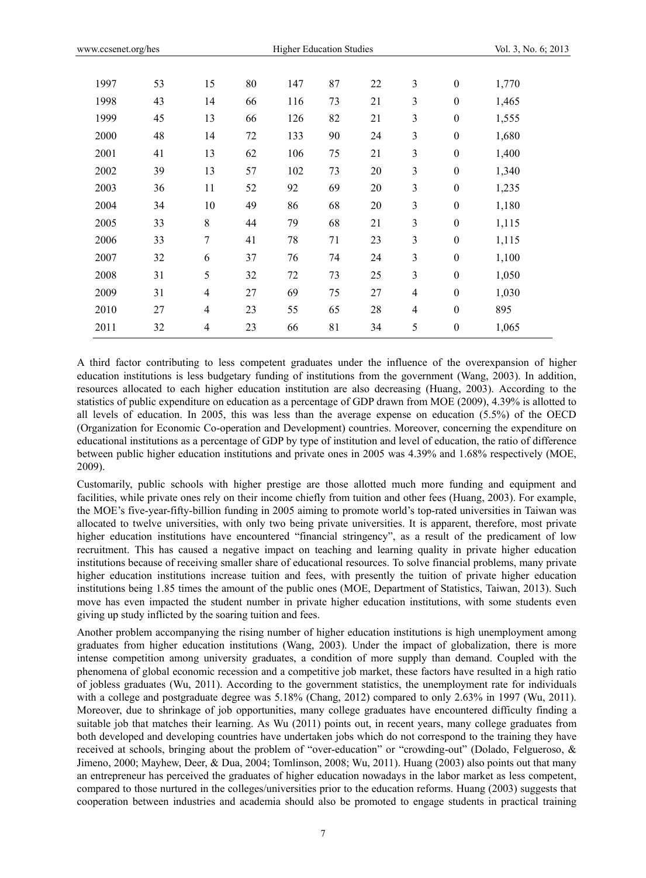| 53 | 15             | 80 | 147 | 87 | 22 | 3              | $\boldsymbol{0}$ | 1,770 |
|----|----------------|----|-----|----|----|----------------|------------------|-------|
| 43 | 14             | 66 | 116 | 73 | 21 | 3              | $\boldsymbol{0}$ | 1,465 |
| 45 | 13             | 66 | 126 | 82 | 21 | 3              | $\boldsymbol{0}$ | 1,555 |
| 48 | 14             | 72 | 133 | 90 | 24 | 3              | $\boldsymbol{0}$ | 1,680 |
| 41 | 13             | 62 | 106 | 75 | 21 | 3              | $\boldsymbol{0}$ | 1,400 |
| 39 | 13             | 57 | 102 | 73 | 20 | 3              | $\boldsymbol{0}$ | 1,340 |
| 36 | 11             | 52 | 92  | 69 | 20 | 3              | $\boldsymbol{0}$ | 1,235 |
| 34 | 10             | 49 | 86  | 68 | 20 | 3              | $\boldsymbol{0}$ | 1,180 |
| 33 | $\,$ 8 $\,$    | 44 | 79  | 68 | 21 | 3              | $\boldsymbol{0}$ | 1,115 |
| 33 | $\overline{7}$ | 41 | 78  | 71 | 23 | 3              | $\boldsymbol{0}$ | 1,115 |
| 32 | 6              | 37 | 76  | 74 | 24 | 3              | $\boldsymbol{0}$ | 1,100 |
| 31 | 5              | 32 | 72  | 73 | 25 | $\mathfrak{Z}$ | $\boldsymbol{0}$ | 1,050 |
| 31 | $\overline{4}$ | 27 | 69  | 75 | 27 | $\overline{4}$ | $\boldsymbol{0}$ | 1,030 |
| 27 | $\overline{4}$ | 23 | 55  | 65 | 28 | $\overline{4}$ | $\boldsymbol{0}$ | 895   |
| 32 | 4              | 23 | 66  | 81 | 34 | 5              | $\boldsymbol{0}$ | 1,065 |
|    |                |    |     |    |    |                |                  |       |

A third factor contributing to less competent graduates under the influence of the overexpansion of higher education institutions is less budgetary funding of institutions from the government (Wang, 2003). In addition, resources allocated to each higher education institution are also decreasing (Huang, 2003). According to the statistics of public expenditure on education as a percentage of GDP drawn from MOE (2009), 4.39% is allotted to all levels of education. In 2005, this was less than the average expense on education (5.5%) of the OECD (Organization for Economic Co-operation and Development) countries. Moreover, concerning the expenditure on educational institutions as a percentage of GDP by type of institution and level of education, the ratio of difference between public higher education institutions and private ones in 2005 was 4.39% and 1.68% respectively (MOE, 2009).

Customarily, public schools with higher prestige are those allotted much more funding and equipment and facilities, while private ones rely on their income chiefly from tuition and other fees (Huang, 2003). For example, the MOE's five-year-fifty-billion funding in 2005 aiming to promote world's top-rated universities in Taiwan was allocated to twelve universities, with only two being private universities. It is apparent, therefore, most private higher education institutions have encountered "financial stringency", as a result of the predicament of low recruitment. This has caused a negative impact on teaching and learning quality in private higher education institutions because of receiving smaller share of educational resources. To solve financial problems, many private higher education institutions increase tuition and fees, with presently the tuition of private higher education institutions being 1.85 times the amount of the public ones (MOE, Department of Statistics, Taiwan, 2013). Such move has even impacted the student number in private higher education institutions, with some students even giving up study inflicted by the soaring tuition and fees.

Another problem accompanying the rising number of higher education institutions is high unemployment among graduates from higher education institutions (Wang, 2003). Under the impact of globalization, there is more intense competition among university graduates, a condition of more supply than demand. Coupled with the phenomena of global economic recession and a competitive job market, these factors have resulted in a high ratio of jobless graduates (Wu, 2011). According to the government statistics, the unemployment rate for individuals with a college and postgraduate degree was  $5.18\%$  (Chang, 2012) compared to only 2.63% in 1997 (Wu, 2011). Moreover, due to shrinkage of job opportunities, many college graduates have encountered difficulty finding a suitable job that matches their learning. As Wu (2011) points out, in recent years, many college graduates from both developed and developing countries have undertaken jobs which do not correspond to the training they have received at schools, bringing about the problem of "over-education" or "crowding-out" (Dolado, Felgueroso, & Jimeno, 2000; Mayhew, Deer, & Dua, 2004; Tomlinson, 2008; Wu, 2011). Huang (2003) also points out that many an entrepreneur has perceived the graduates of higher education nowadays in the labor market as less competent, compared to those nurtured in the colleges/universities prior to the education reforms. Huang (2003) suggests that cooperation between industries and academia should also be promoted to engage students in practical training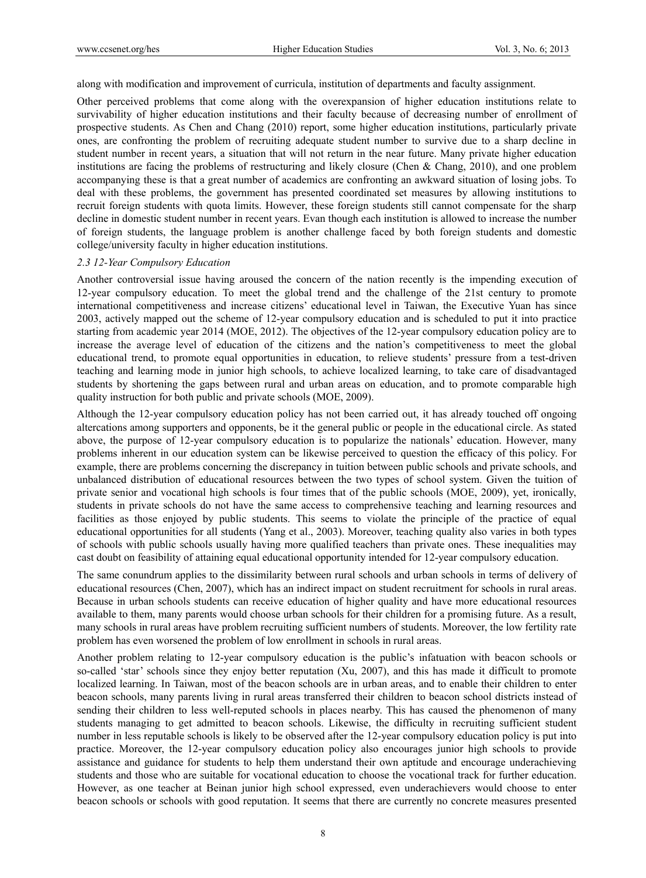along with modification and improvement of curricula, institution of departments and faculty assignment.

Other perceived problems that come along with the overexpansion of higher education institutions relate to survivability of higher education institutions and their faculty because of decreasing number of enrollment of prospective students. As Chen and Chang (2010) report, some higher education institutions, particularly private ones, are confronting the problem of recruiting adequate student number to survive due to a sharp decline in student number in recent years, a situation that will not return in the near future. Many private higher education institutions are facing the problems of restructuring and likely closure (Chen & Chang, 2010), and one problem accompanying these is that a great number of academics are confronting an awkward situation of losing jobs. To deal with these problems, the government has presented coordinated set measures by allowing institutions to recruit foreign students with quota limits. However, these foreign students still cannot compensate for the sharp decline in domestic student number in recent years. Evan though each institution is allowed to increase the number of foreign students, the language problem is another challenge faced by both foreign students and domestic college/university faculty in higher education institutions.

#### *2.3 12-Year Compulsory Education*

Another controversial issue having aroused the concern of the nation recently is the impending execution of 12-year compulsory education. To meet the global trend and the challenge of the 21st century to promote international competitiveness and increase citizens' educational level in Taiwan, the Executive Yuan has since 2003, actively mapped out the scheme of 12-year compulsory education and is scheduled to put it into practice starting from academic year 2014 (MOE, 2012). The objectives of the 12-year compulsory education policy are to increase the average level of education of the citizens and the nation's competitiveness to meet the global educational trend, to promote equal opportunities in education, to relieve students' pressure from a test-driven teaching and learning mode in junior high schools, to achieve localized learning, to take care of disadvantaged students by shortening the gaps between rural and urban areas on education, and to promote comparable high quality instruction for both public and private schools (MOE, 2009).

Although the 12-year compulsory education policy has not been carried out, it has already touched off ongoing altercations among supporters and opponents, be it the general public or people in the educational circle. As stated above, the purpose of 12-year compulsory education is to popularize the nationals' education. However, many problems inherent in our education system can be likewise perceived to question the efficacy of this policy. For example, there are problems concerning the discrepancy in tuition between public schools and private schools, and unbalanced distribution of educational resources between the two types of school system. Given the tuition of private senior and vocational high schools is four times that of the public schools (MOE, 2009), yet, ironically, students in private schools do not have the same access to comprehensive teaching and learning resources and facilities as those enjoyed by public students. This seems to violate the principle of the practice of equal educational opportunities for all students (Yang et al., 2003). Moreover, teaching quality also varies in both types of schools with public schools usually having more qualified teachers than private ones. These inequalities may cast doubt on feasibility of attaining equal educational opportunity intended for 12-year compulsory education.

The same conundrum applies to the dissimilarity between rural schools and urban schools in terms of delivery of educational resources (Chen, 2007), which has an indirect impact on student recruitment for schools in rural areas. Because in urban schools students can receive education of higher quality and have more educational resources available to them, many parents would choose urban schools for their children for a promising future. As a result, many schools in rural areas have problem recruiting sufficient numbers of students. Moreover, the low fertility rate problem has even worsened the problem of low enrollment in schools in rural areas.

Another problem relating to 12-year compulsory education is the public's infatuation with beacon schools or so-called 'star' schools since they enjoy better reputation (Xu, 2007), and this has made it difficult to promote localized learning. In Taiwan, most of the beacon schools are in urban areas, and to enable their children to enter beacon schools, many parents living in rural areas transferred their children to beacon school districts instead of sending their children to less well-reputed schools in places nearby. This has caused the phenomenon of many students managing to get admitted to beacon schools. Likewise, the difficulty in recruiting sufficient student number in less reputable schools is likely to be observed after the 12-year compulsory education policy is put into practice. Moreover, the 12-year compulsory education policy also encourages junior high schools to provide assistance and guidance for students to help them understand their own aptitude and encourage underachieving students and those who are suitable for vocational education to choose the vocational track for further education. However, as one teacher at Beinan junior high school expressed, even underachievers would choose to enter beacon schools or schools with good reputation. It seems that there are currently no concrete measures presented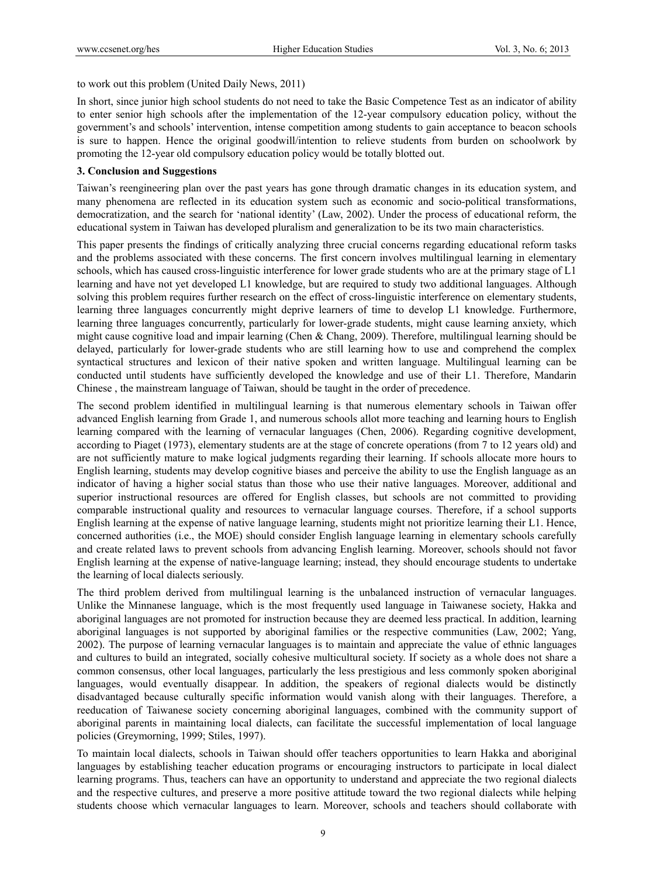to work out this problem (United Daily News, 2011)

In short, since junior high school students do not need to take the Basic Competence Test as an indicator of ability to enter senior high schools after the implementation of the 12-year compulsory education policy, without the government's and schools' intervention, intense competition among students to gain acceptance to beacon schools is sure to happen. Hence the original goodwill/intention to relieve students from burden on schoolwork by promoting the 12-year old compulsory education policy would be totally blotted out.

# **3. Conclusion and Suggestions**

Taiwan's reengineering plan over the past years has gone through dramatic changes in its education system, and many phenomena are reflected in its education system such as economic and socio-political transformations, democratization, and the search for 'national identity' (Law, 2002). Under the process of educational reform, the educational system in Taiwan has developed pluralism and generalization to be its two main characteristics.

This paper presents the findings of critically analyzing three crucial concerns regarding educational reform tasks and the problems associated with these concerns. The first concern involves multilingual learning in elementary schools, which has caused cross-linguistic interference for lower grade students who are at the primary stage of L1 learning and have not yet developed L1 knowledge, but are required to study two additional languages. Although solving this problem requires further research on the effect of cross-linguistic interference on elementary students, learning three languages concurrently might deprive learners of time to develop L1 knowledge. Furthermore, learning three languages concurrently, particularly for lower-grade students, might cause learning anxiety, which might cause cognitive load and impair learning (Chen & Chang, 2009). Therefore, multilingual learning should be delayed, particularly for lower-grade students who are still learning how to use and comprehend the complex syntactical structures and lexicon of their native spoken and written language. Multilingual learning can be conducted until students have sufficiently developed the knowledge and use of their L1. Therefore, Mandarin Chinese , the mainstream language of Taiwan, should be taught in the order of precedence.

The second problem identified in multilingual learning is that numerous elementary schools in Taiwan offer advanced English learning from Grade 1, and numerous schools allot more teaching and learning hours to English learning compared with the learning of vernacular languages (Chen, 2006). Regarding cognitive development, according to Piaget (1973), elementary students are at the stage of concrete operations (from 7 to 12 years old) and are not sufficiently mature to make logical judgments regarding their learning. If schools allocate more hours to English learning, students may develop cognitive biases and perceive the ability to use the English language as an indicator of having a higher social status than those who use their native languages. Moreover, additional and superior instructional resources are offered for English classes, but schools are not committed to providing comparable instructional quality and resources to vernacular language courses. Therefore, if a school supports English learning at the expense of native language learning, students might not prioritize learning their L1. Hence, concerned authorities (i.e., the MOE) should consider English language learning in elementary schools carefully and create related laws to prevent schools from advancing English learning. Moreover, schools should not favor English learning at the expense of native-language learning; instead, they should encourage students to undertake the learning of local dialects seriously.

The third problem derived from multilingual learning is the unbalanced instruction of vernacular languages. Unlike the Minnanese language, which is the most frequently used language in Taiwanese society, Hakka and aboriginal languages are not promoted for instruction because they are deemed less practical. In addition, learning aboriginal languages is not supported by aboriginal families or the respective communities (Law, 2002; Yang, 2002). The purpose of learning vernacular languages is to maintain and appreciate the value of ethnic languages and cultures to build an integrated, socially cohesive multicultural society. If society as a whole does not share a common consensus, other local languages, particularly the less prestigious and less commonly spoken aboriginal languages, would eventually disappear. In addition, the speakers of regional dialects would be distinctly disadvantaged because culturally specific information would vanish along with their languages. Therefore, a reeducation of Taiwanese society concerning aboriginal languages, combined with the community support of aboriginal parents in maintaining local dialects, can facilitate the successful implementation of local language policies (Greymorning, 1999; Stiles, 1997).

To maintain local dialects, schools in Taiwan should offer teachers opportunities to learn Hakka and aboriginal languages by establishing teacher education programs or encouraging instructors to participate in local dialect learning programs. Thus, teachers can have an opportunity to understand and appreciate the two regional dialects and the respective cultures, and preserve a more positive attitude toward the two regional dialects while helping students choose which vernacular languages to learn. Moreover, schools and teachers should collaborate with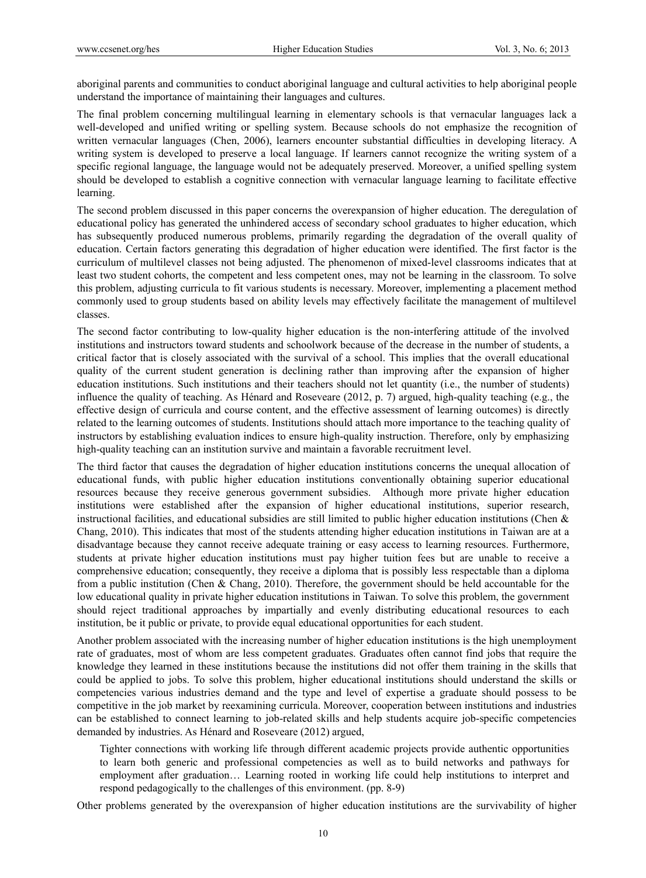aboriginal parents and communities to conduct aboriginal language and cultural activities to help aboriginal people understand the importance of maintaining their languages and cultures.

The final problem concerning multilingual learning in elementary schools is that vernacular languages lack a well-developed and unified writing or spelling system. Because schools do not emphasize the recognition of written vernacular languages (Chen, 2006), learners encounter substantial difficulties in developing literacy. A writing system is developed to preserve a local language. If learners cannot recognize the writing system of a specific regional language, the language would not be adequately preserved. Moreover, a unified spelling system should be developed to establish a cognitive connection with vernacular language learning to facilitate effective learning.

The second problem discussed in this paper concerns the overexpansion of higher education. The deregulation of educational policy has generated the unhindered access of secondary school graduates to higher education, which has subsequently produced numerous problems, primarily regarding the degradation of the overall quality of education. Certain factors generating this degradation of higher education were identified. The first factor is the curriculum of multilevel classes not being adjusted. The phenomenon of mixed-level classrooms indicates that at least two student cohorts, the competent and less competent ones, may not be learning in the classroom. To solve this problem, adjusting curricula to fit various students is necessary. Moreover, implementing a placement method commonly used to group students based on ability levels may effectively facilitate the management of multilevel classes.

The second factor contributing to low-quality higher education is the non-interfering attitude of the involved institutions and instructors toward students and schoolwork because of the decrease in the number of students, a critical factor that is closely associated with the survival of a school. This implies that the overall educational quality of the current student generation is declining rather than improving after the expansion of higher education institutions. Such institutions and their teachers should not let quantity (i.e., the number of students) influence the quality of teaching. As Hénard and Roseveare (2012, p. 7) argued, high-quality teaching (e.g., the effective design of curricula and course content, and the effective assessment of learning outcomes) is directly related to the learning outcomes of students. Institutions should attach more importance to the teaching quality of instructors by establishing evaluation indices to ensure high-quality instruction. Therefore, only by emphasizing high-quality teaching can an institution survive and maintain a favorable recruitment level.

The third factor that causes the degradation of higher education institutions concerns the unequal allocation of educational funds, with public higher education institutions conventionally obtaining superior educational resources because they receive generous government subsidies. Although more private higher education institutions were established after the expansion of higher educational institutions, superior research, instructional facilities, and educational subsidies are still limited to public higher education institutions (Chen  $\&$ Chang, 2010). This indicates that most of the students attending higher education institutions in Taiwan are at a disadvantage because they cannot receive adequate training or easy access to learning resources. Furthermore, students at private higher education institutions must pay higher tuition fees but are unable to receive a comprehensive education; consequently, they receive a diploma that is possibly less respectable than a diploma from a public institution (Chen & Chang, 2010). Therefore, the government should be held accountable for the low educational quality in private higher education institutions in Taiwan. To solve this problem, the government should reject traditional approaches by impartially and evenly distributing educational resources to each institution, be it public or private, to provide equal educational opportunities for each student.

Another problem associated with the increasing number of higher education institutions is the high unemployment rate of graduates, most of whom are less competent graduates. Graduates often cannot find jobs that require the knowledge they learned in these institutions because the institutions did not offer them training in the skills that could be applied to jobs. To solve this problem, higher educational institutions should understand the skills or competencies various industries demand and the type and level of expertise a graduate should possess to be competitive in the job market by reexamining curricula. Moreover, cooperation between institutions and industries can be established to connect learning to job-related skills and help students acquire job-specific competencies demanded by industries. As Hénard and Roseveare (2012) argued,

Tighter connections with working life through different academic projects provide authentic opportunities to learn both generic and professional competencies as well as to build networks and pathways for employment after graduation… Learning rooted in working life could help institutions to interpret and respond pedagogically to the challenges of this environment. (pp. 8-9)

Other problems generated by the overexpansion of higher education institutions are the survivability of higher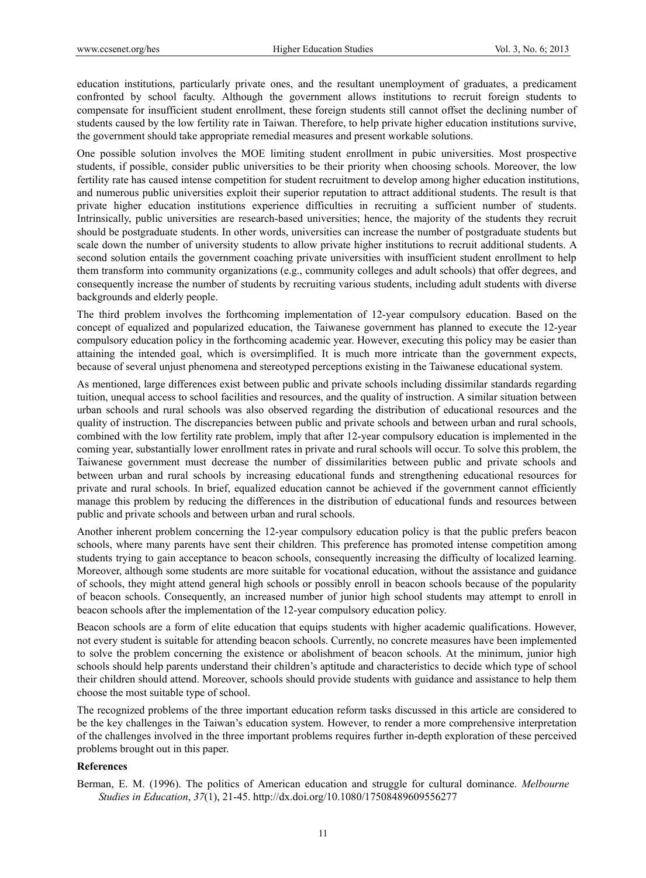education institutions, particularly private ones, and the resultant unemployment of graduates, a predicament confronted by school faculty. Although the government allows institutions to recruit foreign students to compensate for insufficient student enrollment, these foreign students still cannot offset the declining number of students caused by the low fertility rate in Taiwan. Therefore, to help private higher education institutions survive, the government should take appropriate remedial measures and present workable solutions.

One possible solution involves the MOE limiting student enrollment in pubic universities. Most prospective students, if possible, consider public universities to be their priority when choosing schools. Moreover, the low fertility rate has caused intense competition for student recruitment to develop among higher education institutions, and numerous public universities exploit their superior reputation to attract additional students. The result is that private higher education institutions experience difficulties in recruiting a sufficient number of students. Intrinsically, public universities are research-based universities; hence, the majority of the students they recruit should be postgraduate students. In other words, universities can increase the number of postgraduate students but scale down the number of university students to allow private higher institutions to recruit additional students. A second solution entails the government coaching private universities with insufficient student enrollment to help them transform into community organizations (e.g., community colleges and adult schools) that offer degrees, and consequently increase the number of students by recruiting various students, including adult students with diverse backgrounds and elderly people.

The third problem involves the forthcoming implementation of 12-year compulsory education. Based on the concept of equalized and popularized education, the Taiwanese government has planned to execute the 12-year compulsory education policy in the forthcoming academic year. However, executing this policy may be easier than attaining the intended goal, which is oversimplified. It is much more intricate than the government expects, because of several unjust phenomena and stereotyped perceptions existing in the Taiwanese educational system.

As mentioned, large differences exist between public and private schools including dissimilar standards regarding tuition, unequal access to school facilities and resources, and the quality of instruction. A similar situation between urban schools and rural schools was also observed regarding the distribution of educational resources and the quality of instruction. The discrepancies between public and private schools and between urban and rural schools, combined with the low fertility rate problem, imply that after 12-year compulsory education is implemented in the coming year, substantially lower enrollment rates in private and rural schools will occur. To solve this problem, the Taiwanese government must decrease the number of dissimilarities between public and private schools and between urban and rural schools by increasing educational funds and strengthening educational resources for private and rural schools. In brief, equalized education cannot be achieved if the government cannot efficiently manage this problem by reducing the differences in the distribution of educational funds and resources between public and private schools and between urban and rural schools.

Another inherent problem concerning the 12-year compulsory education policy is that the public prefers beacon schools, where many parents have sent their children. This preference has promoted intense competition among students trying to gain acceptance to beacon schools, consequently increasing the difficulty of localized learning. Moreover, although some students are more suitable for vocational education, without the assistance and guidance of schools, they might attend general high schools or possibly enroll in beacon schools because of the popularity of beacon schools. Consequently, an increased number of junior high school students may attempt to enroll in beacon schools after the implementation of the 12-year compulsory education policy.

Beacon schools are a form of elite education that equips students with higher academic qualifications. However, not every student is suitable for attending beacon schools. Currently, no concrete measures have been implemented to solve the problem concerning the existence or abolishment of beacon schools. At the minimum, junior high schools should help parents understand their children's aptitude and characteristics to decide which type of school their children should attend. Moreover, schools should provide students with guidance and assistance to help them choose the most suitable type of school.

The recognized problems of the three important education reform tasks discussed in this article are considered to be the key challenges in the Taiwan's education system. However, to render a more comprehensive interpretation of the challenges involved in the three important problems requires further in-depth exploration of these perceived problems brought out in this paper.

#### **References**

Berman, E. M. (1996). The politics of American education and struggle for cultural dominance. *Melbourne Studies in Education*, *37*(1), 21-45. http://dx.doi.org/10.1080/17508489609556277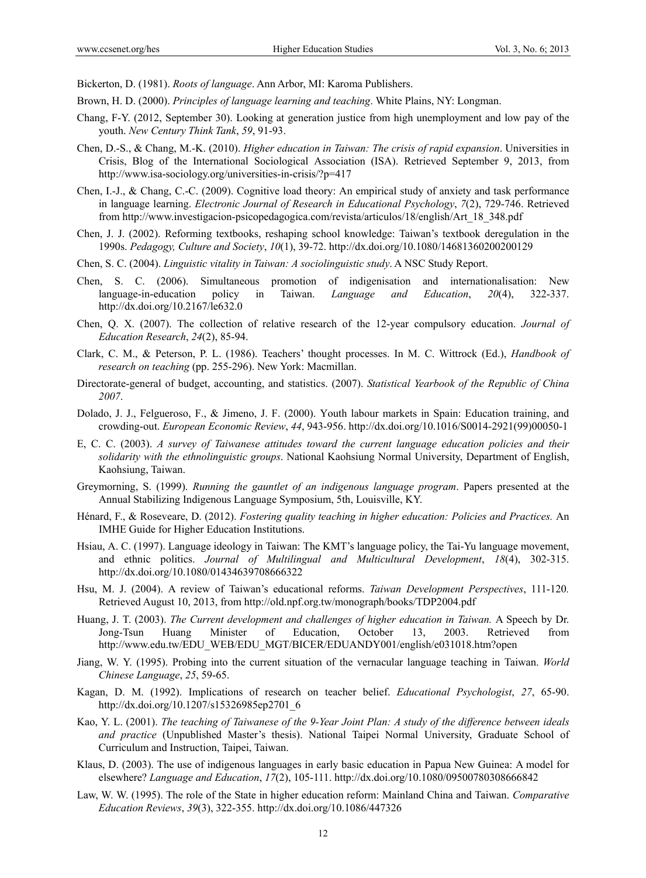Bickerton, D. (1981). *Roots of language*. Ann Arbor, MI: Karoma Publishers.

- Brown, H. D. (2000). *Principles of language learning and teaching*. White Plains, NY: Longman.
- Chang, F-Y. (2012, September 30). Looking at generation justice from high unemployment and low pay of the youth. *New Century Think Tank*, *59*, 91-93.
- Chen, D.-S., & Chang, M.-K. (2010). *Higher education in Taiwan: The crisis of rapid expansion*. Universities in Crisis, Blog of the International Sociological Association (ISA). Retrieved September 9, 2013, from http://www.isa-sociology.org/universities-in-crisis/?p=417
- Chen, I.-J., & Chang, C.-C. (2009). Cognitive load theory: An empirical study of anxiety and task performance in language learning. *Electronic Journal of Research in Educational Psychology*, *7*(2), 729-746. Retrieved from http://www.investigacion-psicopedagogica.com/revista/articulos/18/english/Art\_18\_348.pdf
- Chen, J. J. (2002). Reforming textbooks, reshaping school knowledge: Taiwan's textbook deregulation in the 1990s. *Pedagogy, Culture and Society*, *10*(1), 39-72. http://dx.doi.org/10.1080/14681360200200129
- Chen, S. C. (2004). *Linguistic vitality in Taiwan: A sociolinguistic study*. A NSC Study Report.
- Chen, S. C. (2006). Simultaneous promotion of indigenisation and internationalisation: New language-in-education policy in Taiwan. *Language and Education*, *20*(4), 322-337. http://dx.doi.org/10.2167/le632.0
- Chen, Q. X. (2007). The collection of relative research of the 12-year compulsory education. *Journal of Education Research*, *24*(2), 85-94.
- Clark, C. M., & Peterson, P. L. (1986). Teachers' thought processes. In M. C. Wittrock (Ed.), *Handbook of research on teaching* (pp. 255-296). New York: Macmillan.
- Directorate-general of budget, accounting, and statistics. (2007). *Statistical Yearbook of the Republic of China 2007*.
- Dolado, J. J., Felgueroso, F., & Jimeno, J. F. (2000). Youth labour markets in Spain: Education training, and crowding-out. *European Economic Review*, *44*, 943-956. http://dx.doi.org/10.1016/S0014-2921(99)00050-1
- E, C. C. (2003). *A survey of Taiwanese attitudes toward the current language education policies and their solidarity with the ethnolinguistic groups*. National Kaohsiung Normal University, Department of English, Kaohsiung, Taiwan.
- Greymorning, S. (1999). *Running the gauntlet of an indigenous language program*. Papers presented at the Annual Stabilizing Indigenous Language Symposium, 5th, Louisville, KY.
- Hénard, F., & Roseveare, D. (2012). *Fostering quality teaching in higher education: Policies and Practices.* An IMHE Guide for Higher Education Institutions.
- Hsiau, A. C. (1997). Language ideology in Taiwan: The KMT's language policy, the Tai-Yu language movement, and ethnic politics. *Journal of Multilingual and Multicultural Development*, *18*(4), 302-315. http://dx.doi.org/10.1080/01434639708666322
- Hsu, M. J. (2004). A review of Taiwan's educational reforms. *Taiwan Development Perspectives*, 111-120*.*  Retrieved August 10, 2013, from http://old.npf.org.tw/monograph/books/TDP2004.pdf
- Huang, J. T. (2003). *The Current development and challenges of higher education in Taiwan.* A Speech by Dr. Jong-Tsun Huang Minister of Education, October 13, 2003. Retrieved from http://www.edu.tw/EDU\_WEB/EDU\_MGT/BICER/EDUANDY001/english/e031018.htm?open
- Jiang, W. Y. (1995). Probing into the current situation of the vernacular language teaching in Taiwan. *World Chinese Language*, *25*, 59-65.
- Kagan, D. M. (1992). Implications of research on teacher belief. *Educational Psychologist*, *27*, 65-90. http://dx.doi.org/10.1207/s15326985ep2701\_6
- Kao, Y. L. (2001). *The teaching of Taiwanese of the 9-Year Joint Plan: A study of the difference between ideals and practice* (Unpublished Master's thesis). National Taipei Normal University, Graduate School of Curriculum and Instruction, Taipei, Taiwan.
- Klaus, D. (2003). The use of indigenous languages in early basic education in Papua New Guinea: A model for elsewhere? *Language and Education*, *17*(2), 105-111. http://dx.doi.org/10.1080/09500780308666842
- Law, W. W. (1995). The role of the State in higher education reform: Mainland China and Taiwan. *Comparative Education Reviews*, *39*(3), 322-355. http://dx.doi.org/10.1086/447326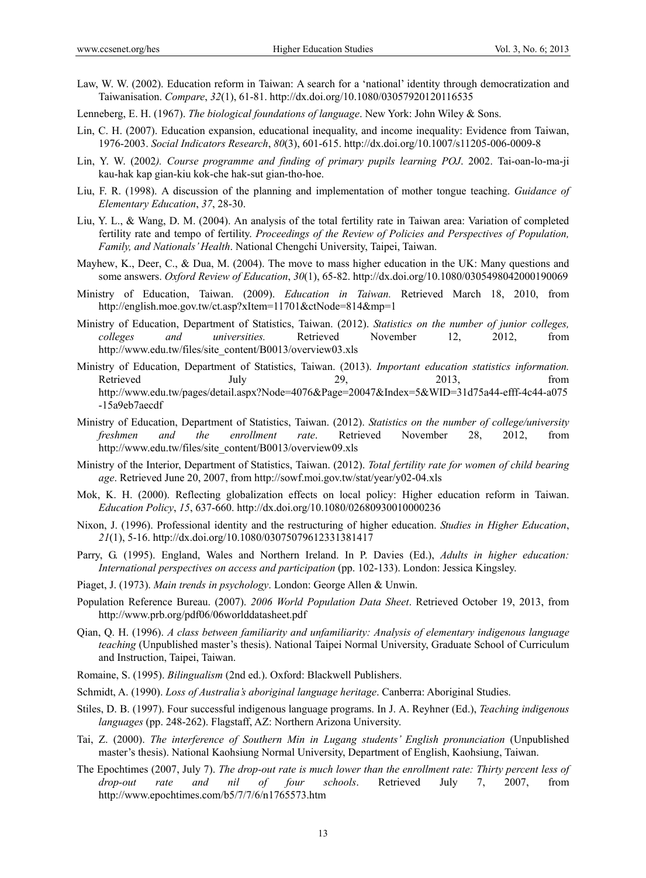- Law, W. W. (2002). Education reform in Taiwan: A search for a 'national' identity through democratization and Taiwanisation. *Compare*, *32*(1), 61-81. http://dx.doi.org/10.1080/03057920120116535
- Lenneberg, E. H. (1967). *The biological foundations of language*. New York: John Wiley & Sons.
- Lin, C. H. (2007). Education expansion, educational inequality, and income inequality: Evidence from Taiwan, 1976-2003. *Social Indicators Research*, *80*(3), 601-615. http://dx.doi.org/10.1007/s11205-006-0009-8
- Lin, Y. W. (2002*). Course programme and finding of primary pupils learning POJ*. 2002. Tai-oan-lo-ma-ji kau-hak kap gian-kiu kok-che hak-sut gian-tho-hoe.
- Liu, F. R. (1998). A discussion of the planning and implementation of mother tongue teaching. *Guidance of Elementary Education*, *37*, 28-30.
- Liu, Y. L., & Wang, D. M. (2004). An analysis of the total fertility rate in Taiwan area: Variation of completed fertility rate and tempo of fertility. *Proceedings of the Review of Policies and Perspectives of Population, Family, and Nationals' Health*. National Chengchi University, Taipei, Taiwan.
- Mayhew, K., Deer, C., & Dua, M. (2004). The move to mass higher education in the UK: Many questions and some answers. *Oxford Review of Education*, *30*(1), 65-82. http://dx.doi.org/10.1080/0305498042000190069
- Ministry of Education, Taiwan. (2009). *Education in Taiwan.* Retrieved March 18, 2010, from http://english.moe.gov.tw/ct.asp?xItem=11701&ctNode=814&mp=1
- Ministry of Education, Department of Statistics, Taiwan. (2012). *Statistics on the number of junior colleges, colleges and universities.* Retrieved November 12, 2012, from http://www.edu.tw/files/site\_content/B0013/overview03.xls
- Ministry of Education, Department of Statistics, Taiwan. (2013). *Important education statistics information.* Retrieved July 29, 2013, from http://www.edu.tw/pages/detail.aspx?Node=4076&Page=20047&Index=5&WID=31d75a44-efff-4c44-a075 -15a9eb7aecdf
- Ministry of Education, Department of Statistics, Taiwan. (2012). *Statistics on the number of college/university freshmen and the enrollment rate*. Retrieved November 28, 2012, from http://www.edu.tw/files/site\_content/B0013/overview09.xls
- Ministry of the Interior, Department of Statistics, Taiwan. (2012). *Total fertility rate for women of child bearing age*. Retrieved June 20, 2007, from http://sowf.moi.gov.tw/stat/year/y02-04.xls
- Mok, K. H. (2000). Reflecting globalization effects on local policy: Higher education reform in Taiwan. *Education Policy*, *15*, 637-660. http://dx.doi.org/10.1080/02680930010000236
- Nixon, J. (1996). Professional identity and the restructuring of higher education. *Studies in Higher Education*, *21*(1), 5-16. http://dx.doi.org/10.1080/03075079612331381417
- Parry, G. (1995). England, Wales and Northern Ireland. In P. Davies (Ed.), *Adults in higher education: International perspectives on access and participation* (pp. 102-133). London: Jessica Kingsley.
- Piaget, J. (1973). *Main trends in psychology*. London: George Allen & Unwin.
- Population Reference Bureau. (2007). *2006 World Population Data Sheet*. Retrieved October 19, 2013, from http://www.prb.org/pdf06/06worlddatasheet.pdf
- Qian, Q. H. (1996). *A class between familiarity and unfamiliarity: Analysis of elementary indigenous language teaching* (Unpublished master's thesis). National Taipei Normal University, Graduate School of Curriculum and Instruction, Taipei, Taiwan.
- Romaine, S. (1995). *Bilingualism* (2nd ed.). Oxford: Blackwell Publishers.
- Schmidt, A. (1990). *Loss of Australia's aboriginal language heritage*. Canberra: Aboriginal Studies.
- Stiles, D. B. (1997). Four successful indigenous language programs. In J. A. Reyhner (Ed.), *Teaching indigenous languages* (pp. 248-262). Flagstaff, AZ: Northern Arizona University.
- Tai, Z. (2000). *The interference of Southern Min in Lugang students' English pronunciation* (Unpublished master's thesis). National Kaohsiung Normal University, Department of English, Kaohsiung, Taiwan.
- The Epochtimes (2007, July 7). *The drop-out rate is much lower than the enrollment rate: Thirty percent less of drop-out rate and nil of four schools*. Retrieved July 7, 2007, from http://www.epochtimes.com/b5/7/7/6/n1765573.htm